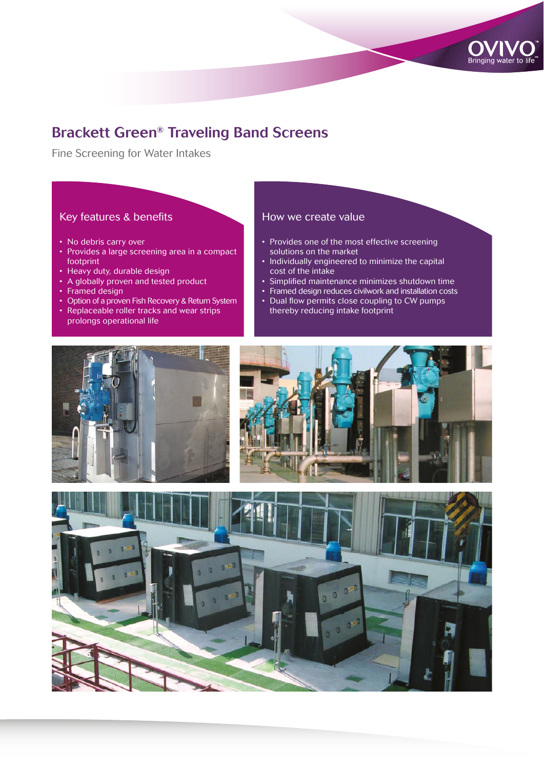

# Brackett Green® Traveling Band Screens

Fine Screening for Water Intakes

## Key features & benefits

- No debris carry over
- Provides a large screening area in a compact footprint
- Heavy duty, durable design
- A globally proven and tested product
- Framed design
- Option of a proven Fish Recovery & Return System • Replaceable roller tracks and wear strips
- prolongs operational life

### How we create value

- Provides one of the most effective screening solutions on the market
- Individually engineered to minimize the capital cost of the intake
- Simplified maintenance minimizes shutdown time
- Framed design reduces civilwork and installation costs
- Dual flow permits close coupling to CW pumps thereby reducing intake footprint





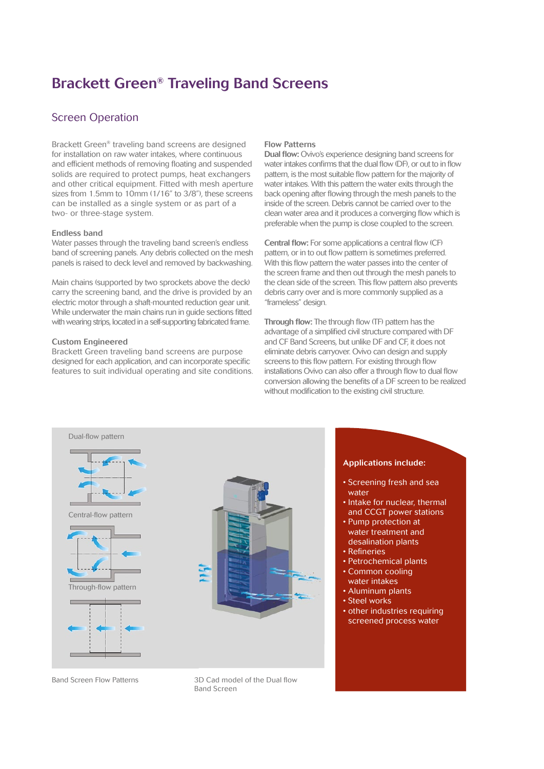# Brackett Green® Traveling Band Screens

## Screen Operation

Brackett Green® traveling band screens are designed for installation on raw water intakes, where continuous and efficient methods of removing floating and suspended solids are required to protect pumps, heat exchangers and other critical equipment. Fitted with mesh aperture sizes from 1.5mm to 10mm (1/16" to 3/8"), these screens can be installed as a single system or as part of a two- or three-stage system.

#### Endless band

Water passes through the traveling band screen's endless band of screening panels. Any debris collected on the mesh panels is raised to deck level and removed by backwashing.

Main chains (supported by two sprockets above the deck) carry the screening band, and the drive is provided by an electric motor through a shaft-mounted reduction gear unit. While underwater the main chains run in guide sections fitted with wearing strips, located in a self-supporting fabricated frame.

#### Custom Engineered

Brackett Green traveling band screens are purpose designed for each application, and can incorporate specific features to suit individual operating and site conditions.

#### Flow Patterns

Dual flow: Ovivo's experience designing band screens for water intakes confirms that the dual flow (DF), or out to in flow pattern, is the most suitable flow pattern for the majority of water intakes. With this pattern the water exits through the back opening after flowing through the mesh panels to the inside of the screen. Debris cannot be carried over to the clean water area and it produces a converging flow which is preferable when the pump is close coupled to the screen.

Central flow: For some applications a central flow (CF) pattern, or in to out flow pattern is sometimes preferred. With this flow pattern the water passes into the center of the screen frame and then out through the mesh panels to the clean side of the screen. This flow pattern also prevents debris carry over and is more commonly supplied as a "frameless" design.

Through flow: The through flow (TF) pattern has the advantage of a simplified civil structure compared with DF and CF Band Screens, but unlike DF and CF, it does not eliminate debris carryover. Ovivo can design and supply screens to this flow pattern. For existing through flow installations Ovivo can also offer a through flow to dual flow conversion allowing the benefits of a DF screen to be realized without modification to the existing civil structure.



Band Screen Flow Patterns

3D Cad model of the Dual flow Band Screen

#### Applications include:

- Screening fresh and sea water
- Intake for nuclear, thermal and CCGT power stations
- Pump protection at water treatment and desalination plants
- Refineries
- Petrochemical plants
- Common cooling
- water intakes
- Aluminum plants
- Steel works
- other industries requiring screened process water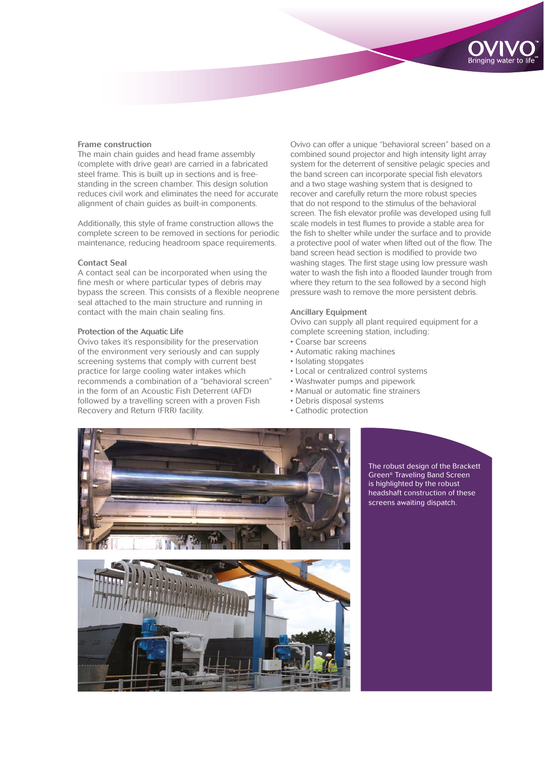#### Frame construction

The main chain guides and head frame assembly (complete with drive gear) are carried in a fabricated steel frame. This is built up in sections and is freestanding in the screen chamber. This design solution reduces civil work and eliminates the need for accurate alignment of chain guides as built-in components.

Additionally, this style of frame construction allows the complete screen to be removed in sections for periodic maintenance, reducing headroom space requirements.

#### Contact Seal

A contact seal can be incorporated when using the fine mesh or where particular types of debris may bypass the screen. This consists of a flexible neoprene seal attached to the main structure and running in contact with the main chain sealing fins.

#### Protection of the Aquatic Life

Ovivo takes it's responsibility for the preservation of the environment very seriously and can supply screening systems that comply with current best practice for large cooling water intakes which recommends a combination of a "behavioral screen" in the form of an Acoustic Fish Deterrent (AFD) followed by a travelling screen with a proven Fish Recovery and Return (FRR) facility.

Ovivo can offer a unique "behavioral screen" based on a combined sound projector and high intensity light array system for the deterrent of sensitive pelagic species and the band screen can incorporate special fish elevators and a two stage washing system that is designed to recover and carefully return the more robust species that do not respond to the stimulus of the behavioral screen. The fish elevator profile was developed using full scale models in test flumes to provide a stable area for the fish to shelter while under the surface and to provide a protective pool of water when lifted out of the flow. The band screen head section is modified to provide two washing stages. The first stage using low pressure wash water to wash the fish into a flooded launder trough from where they return to the sea followed by a second high pressure wash to remove the more persistent debris.

#### Ancillary Equipment

Ovivo can supply all plant required equipment for a complete screening station, including:

- Coarse bar screens
- Automatic raking machines
- Isolating stopgates
- Local or centralized control systems
- Washwater pumps and pipework
- Manual or automatic fine strainers
- Debris disposal systems
- Cathodic protection



The robust design of the Brackett Green® Traveling Band Screen is highlighted by the robust headshaft construction of these screens awaiting dispatch.